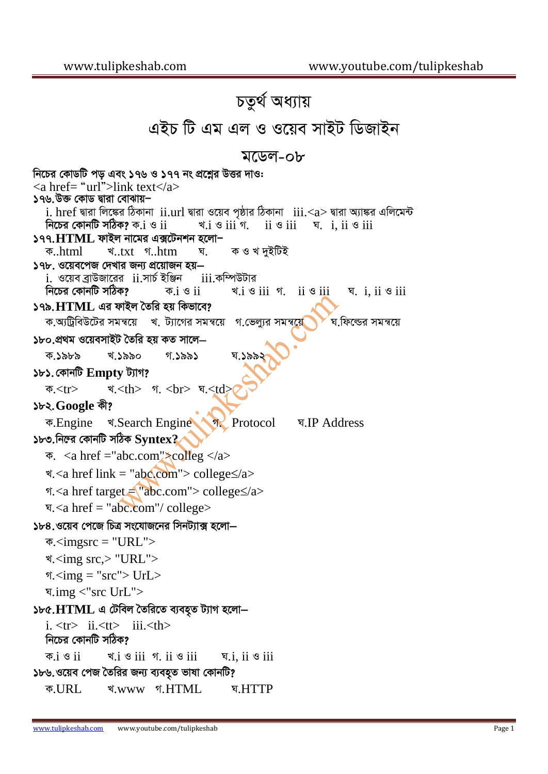## চতুৰ্থ অধ্যায় এইচ টি এম এল ও ওয়েব সাইট ডিজাইন মডেল-০৮ নিচের কোডটি পড এবং ১৭৬ ও ১৭৭ নং প্রশ্নের উত্তর দাও:  $\langle$  href= "url">link text $\langle$ a> ১৭৬.উক্ত কোড দ্বারা বোঝায়– i. href দ্বারা লিঙ্কের ঠিকানা ii.url দ্বারা ওয়েব পৃষ্ঠার ঠিকানা iii.<a> দ্বারা অ্যাঙ্কর এলিমেন্ট নিচের কোনটি সঠিক? ক. $i \otimes ii$ খ. $i \circ ii \circ$  ii  $\circ iii$ ঘ.  $i$ ,  $ii \circ iii$ ১৭৭. $HTML$  ফাইল নামের এক্সটেনশন হলো $-$ খ..txt গ..htm ক ও খ দুইটিই ক..html ঘ. ১৭৮. ওয়েবপেজ দেখার জন্য প্রয়োজন হয়— <u>i. ওয়েব ব্রাউজারের ii.সার্চ ইঞ্জিন </u> iii.কম্পিউটার নিচের কোনটি সঠিক?  $\forall i$  is  $ii$   $\land$   $ii$   $\land$   $iii$ ক. $i \circ ii$ घ. *i. ii*  $\circ$  *iii* ১৭৯. $HTML$  এর ফাইল তৈরি হয় কিভাবে? ক.অ্টিবিউটের সমন্বয়ে খ. ট্যাগের সমন্বয়ে ঘ ফিল্ডের সমন্বয়ে গ ভেল্যুর সমন্বয়ে ১৮০ প্রথম ওয়েবসাইট তৈরি হয় কত সালে– খ ১৯৯০ ক ১৯৮৯ গ ১৯৯১ ঘ.১৯৯ ১৮১. কোনটি Empty ট্যাগ? খ.<th> গ. <br> ঘ.<td; ক $<$ tr $>$ ১৮২.Google কী? ক.Engine খ.Search Engine a Protocol ঘ.IP Address ১৮৩.নিল্রে কোনটি সঠিক  $\text{Syntex}2$  $\overline{\Phi}$ . <a href = "abc.com">colleg </a> খ.<a href link = "abc.com"> college $\le$ /a> গ.<a href target = "abc.com"> college≤/a> प.<a href = "abc.com"/ college> ১৮৪.ওয়েব পেজে চিত্র সংযোজনের সিনট্যাক্স হলো–  $\overline{\Phi}$ .<imgsrc = "URL"> খ.<img src,> "URL"> গ. $\langle$ img = "src"> UrL> प.img <"src UrL"> ১৮৫. $HTML$  এ টেবিল তৈরিতে ব্যবহৃত ট্যাগ হলো $$  $i. \langle tr \rangle$  ii. $\langle tr \rangle$  iii. $\langle th \rangle$ নিচের কোনটি সঠিক?  $\overline{\Phi}$ . $i \otimes ii$  $\triangleleft$ .  $\angle$  i  $\angle$  i  $\angle$  i  $\angle$  i  $\angle$  i  $\angle$  i i  $\angle$ ঘ.i, ii  $\mathcal G$  iii ১৮৬.ওয়েব পেজ তৈরির জন্য ব্যবহুত ভাষা কোনটি? र्थ.www গ.HTML ক.URL घ.HTTP